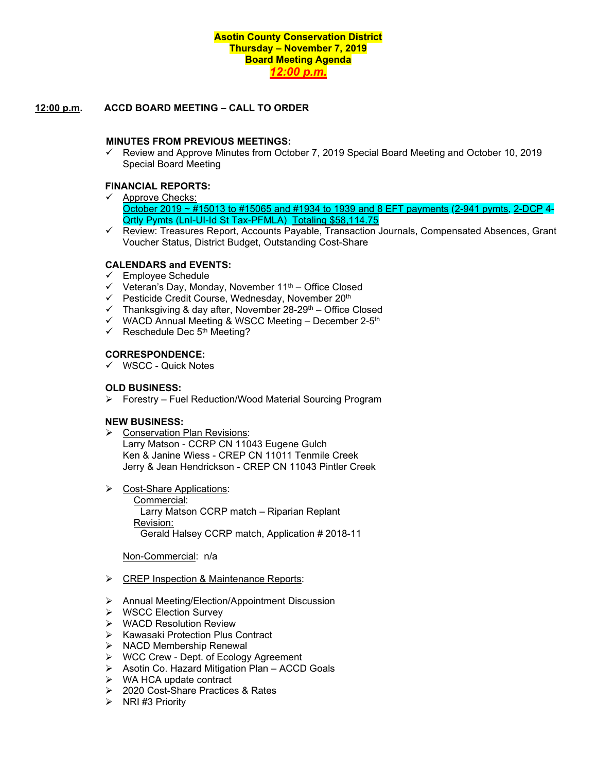# **Asotin County Conservation District Thursday – November 7, 2019 Board Meeting Agenda** *12:00 p.m.*

# **12:00 p.m. ACCD BOARD MEETING – CALL TO ORDER**

#### **MINUTES FROM PREVIOUS MEETINGS:**

 $\checkmark$  Review and Approve Minutes from October 7, 2019 Special Board Meeting and October 10, 2019 Special Board Meeting

## **FINANCIAL REPORTS:**

- $\checkmark$  Approve Checks: October 2019 ~ #15013 to #15065 and #1934 to 1939 and 8 EFT payments (2-941 pymts, 2-DCP 4- Qrtly Pymts (LnI-UI-Id St Tax-PFMLA) Totaling \$58,114.75
- $\checkmark$  Review: Treasures Report, Accounts Payable, Transaction Journals, Compensated Absences, Grant Voucher Status, District Budget, Outstanding Cost-Share

# **CALENDARS and EVENTS:**

- $\checkmark$  Employee Schedule
- $\checkmark$  Veteran's Day, Monday, November 11<sup>th</sup> Office Closed
- $\checkmark$  Pesticide Credit Course, Wednesday, November 20<sup>th</sup>
- $\checkmark$  Thanksgiving & day after, November 28-29<sup>th</sup> Office Closed
- $\checkmark$  WACD Annual Meeting & WSCC Meeting December 2-5<sup>th</sup>
- $\checkmark$  Reschedule Dec 5<sup>th</sup> Meeting?

#### **CORRESPONDENCE:**

 $\checkmark$  WSCC - Quick Notes

## **OLD BUSINESS:**

Forestry – Fuel Reduction/Wood Material Sourcing Program

#### **NEW BUSINESS:**

- Conservation Plan Revisions: Larry Matson - CCRP CN 11043 Eugene Gulch Ken & Janine Wiess - CREP CN 11011 Tenmile Creek Jerry & Jean Hendrickson - CREP CN 11043 Pintler Creek
- Cost-Share Applications: Commercial: Larry Matson CCRP match – Riparian Replant Revision: Gerald Halsey CCRP match, Application # 2018-11

Non-Commercial: n/a

- > CREP Inspection & Maintenance Reports:
- Annual Meeting/Election/Appointment Discussion
- ▶ WSCC Election Survey
- WACD Resolution Review
- $\triangleright$  Kawasaki Protection Plus Contract
- $\triangleright$  NACD Membership Renewal
- WCC Crew Dept. of Ecology Agreement
- $\triangleright$  Asotin Co. Hazard Mitigation Plan ACCD Goals
- **►** WA HCA update contract
- 2020 Cost-Share Practices & Rates
- $\triangleright$  NRI #3 Priority